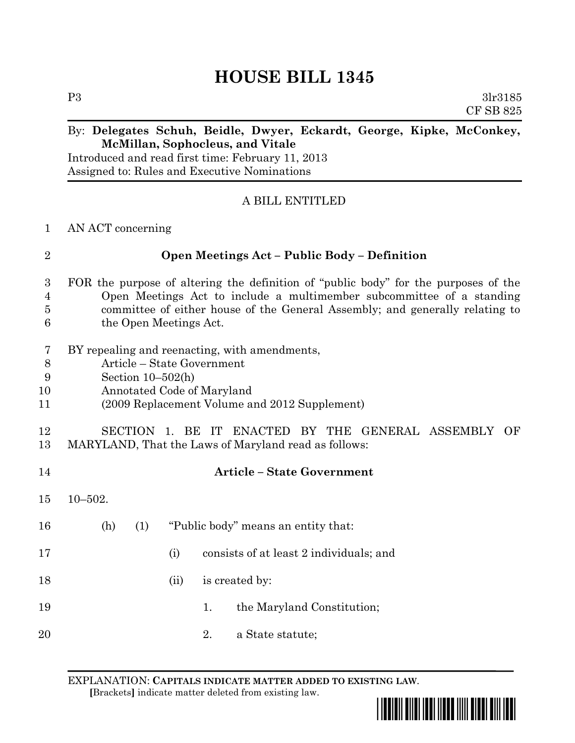# **HOUSE BILL 1345**

P3 3lr3185 CF SB 825

## By: **Delegates Schuh, Beidle, Dwyer, Eckardt, George, Kipke, McConkey, McMillan, Sophocleus, and Vitale**

Introduced and read first time: February 11, 2013 Assigned to: Rules and Executive Nominations

## A BILL ENTITLED

#### 1 AN ACT concerning

#### 2 **Open Meetings Act – Public Body – Definition**

## 3 FOR the purpose of altering the definition of "public body" for the purposes of the 4 Open Meetings Act to include a multimember subcommittee of a standing 5 committee of either house of the General Assembly; and generally relating to 6 the Open Meetings Act.

- 7 BY repealing and reenacting, with amendments,
- 8 Article State Government
- 9 Section 10–502(h)
- 10 Annotated Code of Maryland
- 11 (2009 Replacement Volume and 2012 Supplement)

# 12 SECTION 1. BE IT ENACTED BY THE GENERAL ASSEMBLY OF 13 MARYLAND, That the Laws of Maryland read as follows:

#### 14 **Article – State Government**

- 15 10–502.
- 16 (h) (1) "Public body" means an entity that:
- 17 (i) consists of at least 2 individuals; and
- 18 (ii) is created by:
- 19 1. the Maryland Constitution;
- 20 2. a State statute;

EXPLANATION: **CAPITALS INDICATE MATTER ADDED TO EXISTING LAW**.  **[**Brackets**]** indicate matter deleted from existing law.

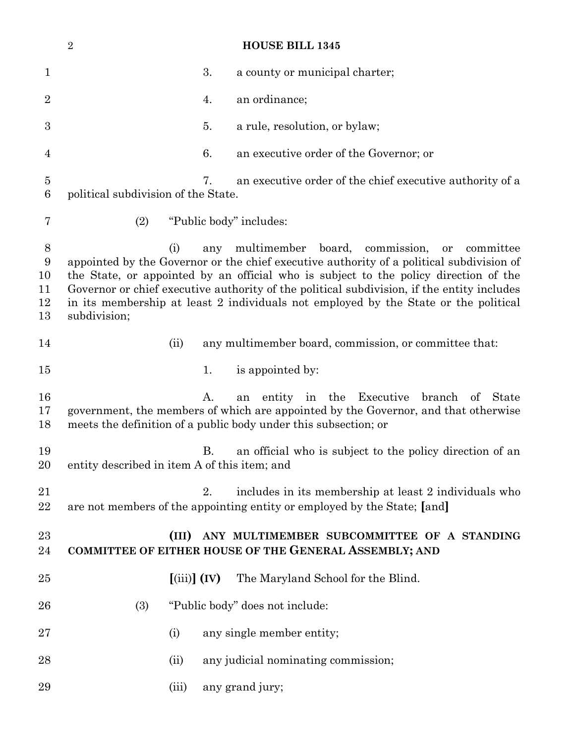|                                | $\overline{2}$                               |                                  |     | <b>HOUSE BILL 1345</b>                                                                                                                                                                                                                                                                                                                                                                                                        |
|--------------------------------|----------------------------------------------|----------------------------------|-----|-------------------------------------------------------------------------------------------------------------------------------------------------------------------------------------------------------------------------------------------------------------------------------------------------------------------------------------------------------------------------------------------------------------------------------|
| $\mathbf 1$                    |                                              |                                  | 3.  | a county or municipal charter;                                                                                                                                                                                                                                                                                                                                                                                                |
| $\overline{2}$                 |                                              |                                  | 4.  | an ordinance;                                                                                                                                                                                                                                                                                                                                                                                                                 |
| $\boldsymbol{3}$               |                                              |                                  | 5.  | a rule, resolution, or bylaw;                                                                                                                                                                                                                                                                                                                                                                                                 |
| 4                              |                                              |                                  | 6.  | an executive order of the Governor; or                                                                                                                                                                                                                                                                                                                                                                                        |
| $\bf 5$<br>$6\phantom{.}6$     | political subdivision of the State.          |                                  | 7.  | an executive order of the chief executive authority of a                                                                                                                                                                                                                                                                                                                                                                      |
| 7                              | (2)                                          |                                  |     | "Public body" includes:                                                                                                                                                                                                                                                                                                                                                                                                       |
| 8<br>9<br>10<br>11<br>12<br>13 | subdivision;                                 | (i)                              | any | multimember board,<br>commission,<br>or<br>committee<br>appointed by the Governor or the chief executive authority of a political subdivision of<br>the State, or appointed by an official who is subject to the policy direction of the<br>Governor or chief executive authority of the political subdivision, if the entity includes<br>in its membership at least 2 individuals not employed by the State or the political |
| 14                             |                                              | (ii)                             |     | any multimember board, commission, or committee that:                                                                                                                                                                                                                                                                                                                                                                         |
| 15                             |                                              |                                  | 1.  | is appointed by:                                                                                                                                                                                                                                                                                                                                                                                                              |
| 16<br>17<br>18                 |                                              |                                  | A.  | entity in the Executive<br>branch<br><b>State</b><br>of<br>an<br>government, the members of which are appointed by the Governor, and that otherwise<br>meets the definition of a public body under this subsection; or                                                                                                                                                                                                        |
| 19<br>20                       | entity described in item A of this item; and |                                  | В.  | an official who is subject to the policy direction of an                                                                                                                                                                                                                                                                                                                                                                      |
| 21<br>22                       |                                              |                                  | 2.  | includes in its membership at least 2 individuals who<br>are not members of the appointing entity or employed by the State; [and]                                                                                                                                                                                                                                                                                             |
| 23<br>24                       |                                              | (III)                            |     | ANY MULTIMEMBER SUBCOMMITTEE OF A STANDING<br>COMMITTEE OF EITHER HOUSE OF THE GENERAL ASSEMBLY; AND                                                                                                                                                                                                                                                                                                                          |
| 25                             |                                              | $\left[\text{(iii)}\right]$ (IV) |     | The Maryland School for the Blind.                                                                                                                                                                                                                                                                                                                                                                                            |
| 26                             | (3)                                          |                                  |     | "Public body" does not include:                                                                                                                                                                                                                                                                                                                                                                                               |
| 27                             |                                              | (i)                              |     | any single member entity;                                                                                                                                                                                                                                                                                                                                                                                                     |
| 28                             |                                              | (ii)                             |     | any judicial nominating commission;                                                                                                                                                                                                                                                                                                                                                                                           |
| 29                             |                                              | (iii)                            |     | any grand jury;                                                                                                                                                                                                                                                                                                                                                                                                               |